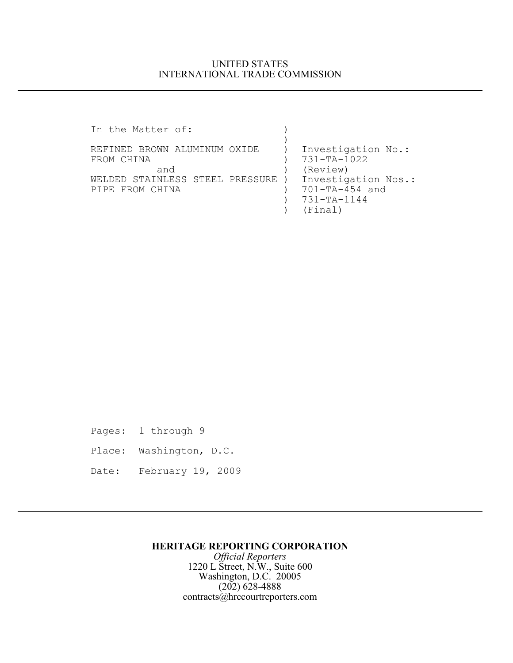## UNITED STATES INTERNATIONAL TRADE COMMISSION

In the Matter of:  $)$  $)$ REFINED BROWN ALUMINUM OXIDE ) Investigation No.: FROM CHINA (2008) 731-TA-1022 and (Review)<br>INLESS STEEL PRESSURE ) Investigation Nos.: WELDED STAINLESS STEEL PRESSURE ) Investigation N<br>PIPE FROM CHINA (701-TA-454 and PIPE FROM CHINA (1) ) 731-TA-1144 ) (Final)

Pages: 1 through 9 Place: Washington, D.C. Date: February 19, 2009

## **HERITAGE REPORTING CORPORATION**

*Official Reporters* 1220 L Street, N.W., Suite 600 Washington, D.C. 20005 (202) 628-4888 contracts@hrccourtreporters.com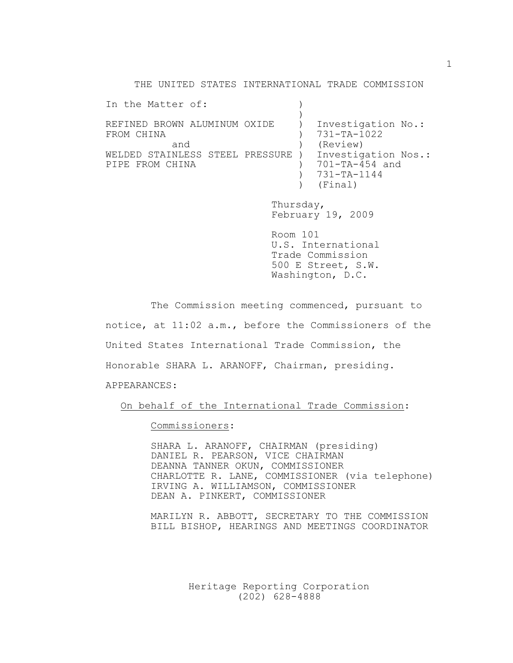THE UNITED STATES INTERNATIONAL TRADE COMMISSION

| In the Matter of:                                    |  |                                                                 |
|------------------------------------------------------|--|-----------------------------------------------------------------|
| REFINED BROWN ALUMINUM OXIDE<br>FROM CHINA<br>and    |  | Investigation No.:<br>731-TA-1022<br>(Review)                   |
| WELDED STAINLESS STEEL PRESSURE )<br>PIPE FROM CHINA |  | Investigation Nos.:<br>701-TA-454 and<br>731-TA-1144<br>(Final) |

Thursday, February 19, 2009

Room 101 U.S. International Trade Commission 500 E Street, S.W. Washington, D.C.

The Commission meeting commenced, pursuant to notice, at 11:02 a.m., before the Commissioners of the United States International Trade Commission, the Honorable SHARA L. ARANOFF, Chairman, presiding. APPEARANCES:

On behalf of the International Trade Commission:

Commissioners:

SHARA L. ARANOFF, CHAIRMAN (presiding) DANIEL R. PEARSON, VICE CHAIRMAN DEANNA TANNER OKUN, COMMISSIONER CHARLOTTE R. LANE, COMMISSIONER (via telephone) IRVING A. WILLIAMSON, COMMISSIONER DEAN A. PINKERT, COMMISSIONER

MARILYN R. ABBOTT, SECRETARY TO THE COMMISSION BILL BISHOP, HEARINGS AND MEETINGS COORDINATOR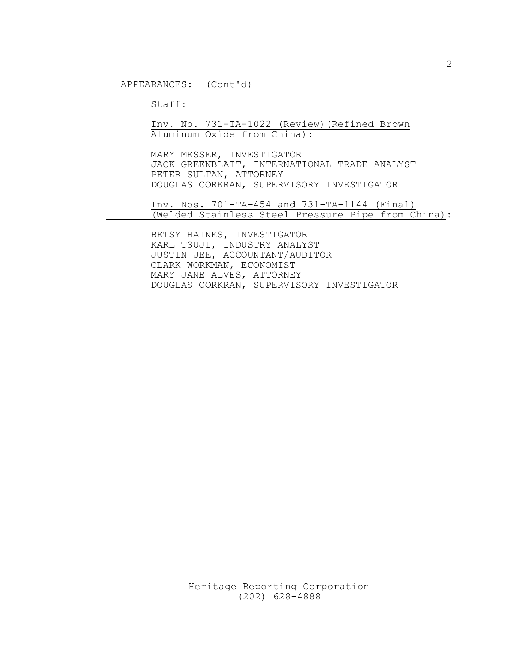Staff:

## Inv. No. 731-TA-1022 (Review)(Refined Brown Aluminum Oxide from China):

MARY MESSER, INVESTIGATOR JACK GREENBLATT, INTERNATIONAL TRADE ANALYST PETER SULTAN, ATTORNEY DOUGLAS CORKRAN, SUPERVISORY INVESTIGATOR

Inv. Nos. 701-TA-454 and 731-TA-1144 (Final) (Welded Stainless Steel Pressure Pipe from China):

BETSY HAINES, INVESTIGATOR KARL TSUJI, INDUSTRY ANALYST JUSTIN JEE, ACCOUNTANT/AUDITOR CLARK WORKMAN, ECONOMIST MARY JANE ALVES, ATTORNEY DOUGLAS CORKRAN, SUPERVISORY INVESTIGATOR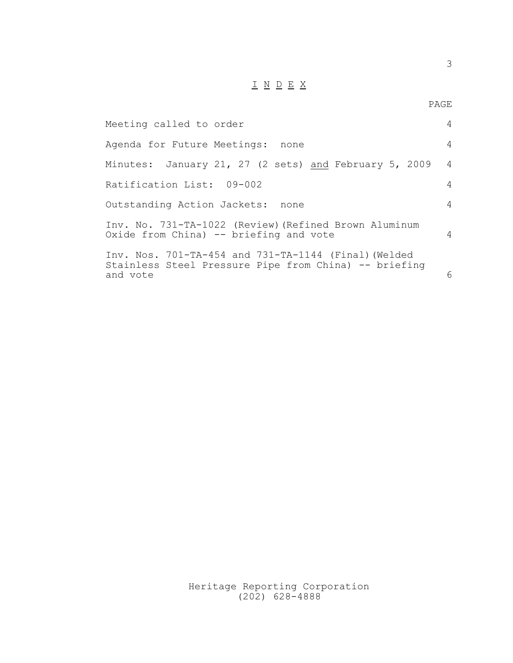## I N D E X

PAGE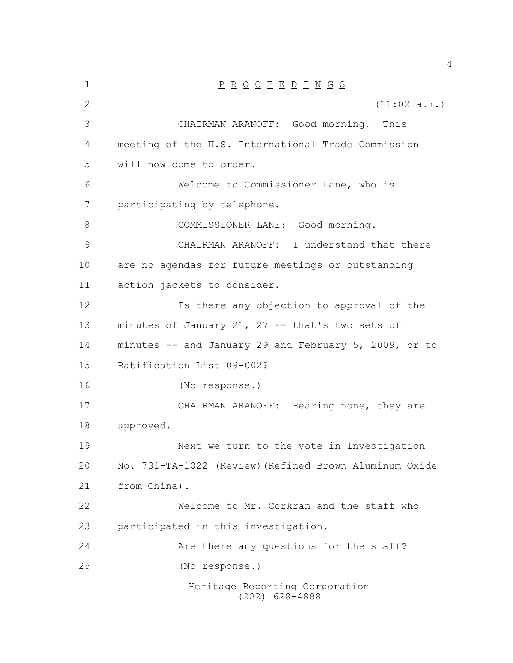| $\mathbf 1$ | $\underline{P} \underline{R} \underline{O} \underline{C} \underline{E} \underline{E} \underline{D} \underline{I} \underline{N} \underline{G} \underline{S}$ |
|-------------|-------------------------------------------------------------------------------------------------------------------------------------------------------------|
| 2           | (11:02 a.m.)                                                                                                                                                |
| 3           | CHAIRMAN ARANOFF: Good morning.<br>This                                                                                                                     |
| 4           | meeting of the U.S. International Trade Commission                                                                                                          |
| 5           | will now come to order.                                                                                                                                     |
| 6           | Welcome to Commissioner Lane, who is                                                                                                                        |
| 7           | participating by telephone.                                                                                                                                 |
| 8           | COMMISSIONER LANE: Good morning.                                                                                                                            |
| 9           | CHAIRMAN ARANOFF: I understand that there                                                                                                                   |
| 10          | are no agendas for future meetings or outstanding                                                                                                           |
| 11          | action jackets to consider.                                                                                                                                 |
| 12          | Is there any objection to approval of the                                                                                                                   |
| 13          | minutes of January 21, 27 -- that's two sets of                                                                                                             |
| 14          | minutes -- and January 29 and February 5, 2009, or to                                                                                                       |
| 15          | Ratification List 09-002?                                                                                                                                   |
| 16          | (No response.)                                                                                                                                              |
| 17          | CHAIRMAN ARANOFF: Hearing none, they are                                                                                                                    |
| 18          | approved.                                                                                                                                                   |
| 19          | Next we turn to the vote in Investigation                                                                                                                   |
| 20          | No. 731-TA-1022 (Review) (Refined Brown Aluminum Oxide                                                                                                      |
| 21          | from China).                                                                                                                                                |
| 22          | Welcome to Mr. Corkran and the staff who                                                                                                                    |
| 23          | participated in this investigation.                                                                                                                         |
| 24          | Are there any questions for the staff?                                                                                                                      |
| 25          | (No response.)                                                                                                                                              |
|             | Heritage Reporting Corporation<br>$(202)$ 628-4888                                                                                                          |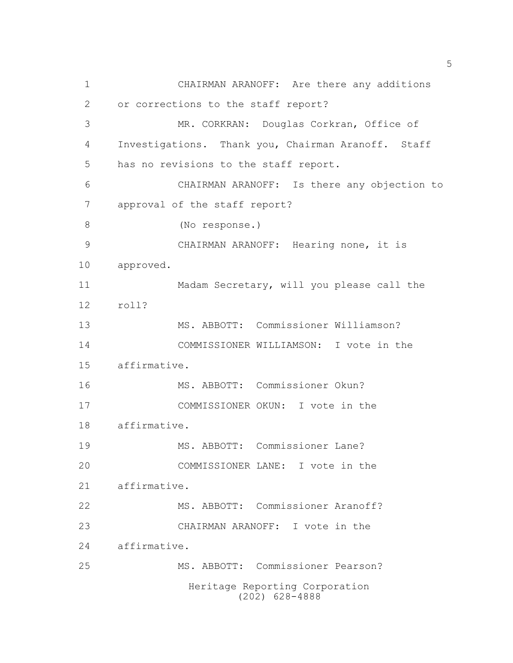Heritage Reporting Corporation (202) 628-4888 CHAIRMAN ARANOFF: Are there any additions or corrections to the staff report? MR. CORKRAN: Douglas Corkran, Office of Investigations. Thank you, Chairman Aranoff. Staff has no revisions to the staff report. CHAIRMAN ARANOFF: Is there any objection to approval of the staff report? (No response.) CHAIRMAN ARANOFF: Hearing none, it is approved. Madam Secretary, will you please call the roll? MS. ABBOTT: Commissioner Williamson? COMMISSIONER WILLIAMSON: I vote in the affirmative. MS. ABBOTT: Commissioner Okun? COMMISSIONER OKUN: I vote in the affirmative. MS. ABBOTT: Commissioner Lane? COMMISSIONER LANE: I vote in the affirmative. MS. ABBOTT: Commissioner Aranoff? CHAIRMAN ARANOFF: I vote in the affirmative. MS. ABBOTT: Commissioner Pearson?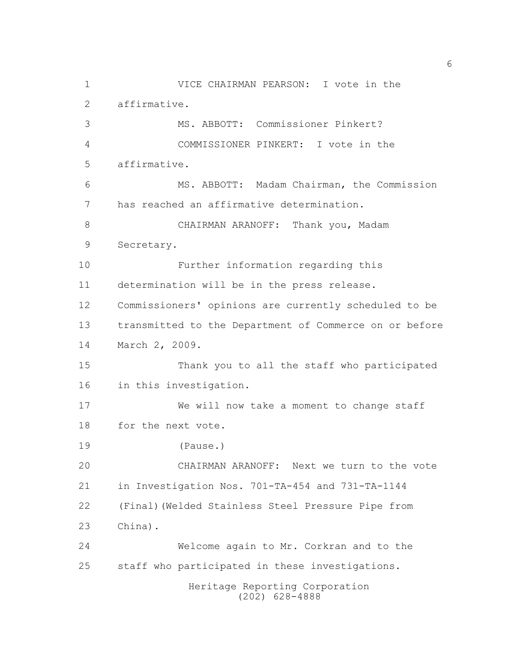Heritage Reporting Corporation (202) 628-4888 VICE CHAIRMAN PEARSON: I vote in the affirmative. MS. ABBOTT: Commissioner Pinkert? COMMISSIONER PINKERT: I vote in the affirmative. MS. ABBOTT: Madam Chairman, the Commission has reached an affirmative determination. CHAIRMAN ARANOFF: Thank you, Madam Secretary. Further information regarding this determination will be in the press release. Commissioners' opinions are currently scheduled to be transmitted to the Department of Commerce on or before March 2, 2009. Thank you to all the staff who participated in this investigation. We will now take a moment to change staff for the next vote. (Pause.) CHAIRMAN ARANOFF: Next we turn to the vote in Investigation Nos. 701-TA-454 and 731-TA-1144 (Final)(Welded Stainless Steel Pressure Pipe from China). Welcome again to Mr. Corkran and to the staff who participated in these investigations.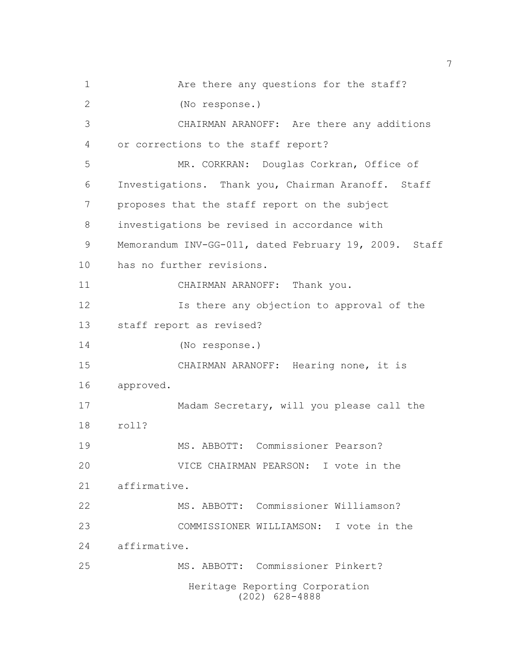Heritage Reporting Corporation (202) 628-4888 Are there any questions for the staff? (No response.) CHAIRMAN ARANOFF: Are there any additions or corrections to the staff report? MR. CORKRAN: Douglas Corkran, Office of Investigations. Thank you, Chairman Aranoff. Staff proposes that the staff report on the subject investigations be revised in accordance with Memorandum INV-GG-011, dated February 19, 2009. Staff has no further revisions. CHAIRMAN ARANOFF: Thank you. Is there any objection to approval of the staff report as revised? (No response.) CHAIRMAN ARANOFF: Hearing none, it is approved. Madam Secretary, will you please call the roll? MS. ABBOTT: Commissioner Pearson? VICE CHAIRMAN PEARSON: I vote in the affirmative. MS. ABBOTT: Commissioner Williamson? COMMISSIONER WILLIAMSON: I vote in the affirmative. MS. ABBOTT: Commissioner Pinkert?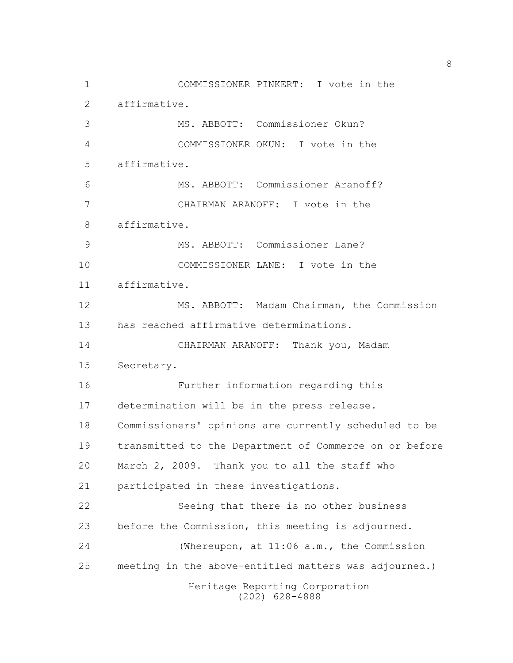Heritage Reporting Corporation (202) 628-4888 COMMISSIONER PINKERT: I vote in the affirmative. MS. ABBOTT: Commissioner Okun? COMMISSIONER OKUN: I vote in the affirmative. MS. ABBOTT: Commissioner Aranoff? CHAIRMAN ARANOFF: I vote in the affirmative. MS. ABBOTT: Commissioner Lane? COMMISSIONER LANE: I vote in the affirmative. MS. ABBOTT: Madam Chairman, the Commission has reached affirmative determinations. CHAIRMAN ARANOFF: Thank you, Madam Secretary. Further information regarding this determination will be in the press release. Commissioners' opinions are currently scheduled to be transmitted to the Department of Commerce on or before March 2, 2009. Thank you to all the staff who participated in these investigations. Seeing that there is no other business before the Commission, this meeting is adjourned. (Whereupon, at 11:06 a.m., the Commission meeting in the above-entitled matters was adjourned.)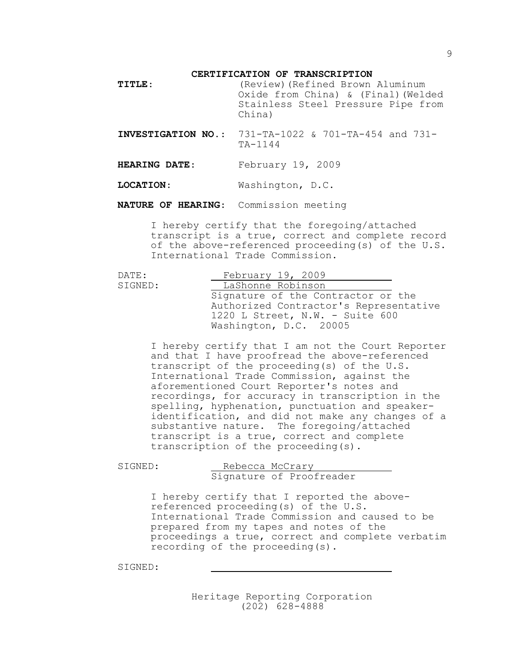**CERTIFICATION OF TRANSCRIPTION**

| <b>TITLE:</b> | (Review) (Refined Brown Aluminum<br>Oxide from China) & (Final) (Welded<br>Stainless Steel Pressure Pipe from<br>China) |  |  |  |
|---------------|-------------------------------------------------------------------------------------------------------------------------|--|--|--|
|               | <b>INVESTIGATION NO.:</b> 731-TA-1022 & 701-TA-454 and 731-                                                             |  |  |  |

TA-1144

**HEARING DATE**: February 19, 2009

**LOCATION**: Washington, D.C.

**NATURE OF HEARING**: Commission meeting

I hereby certify that the foregoing/attached transcript is a true, correct and complete record of the above-referenced proceeding(s) of the U.S. International Trade Commission.

| DATE:   | February $19, 2009$                    |  |
|---------|----------------------------------------|--|
| SIGNED: | LaShonne Robinson                      |  |
|         | Signature of the Contractor or the     |  |
|         | Authorized Contractor's Representative |  |
|         | 1220 L Street, N.W. - Suite 600        |  |
|         | Washington, D.C. 20005                 |  |

I hereby certify that I am not the Court Reporter and that I have proofread the above-referenced transcript of the proceeding(s) of the U.S. International Trade Commission, against the aforementioned Court Reporter's notes and recordings, for accuracy in transcription in the spelling, hyphenation, punctuation and speakeridentification, and did not make any changes of a substantive nature. The foregoing/attached transcript is a true, correct and complete transcription of the proceeding(s).

SIGNED: Rebecca McCrary Signature of Proofreader

> I hereby certify that I reported the abovereferenced proceeding(s) of the U.S. International Trade Commission and caused to be prepared from my tapes and notes of the proceedings a true, correct and complete verbatim recording of the proceeding(s).

SIGNED: